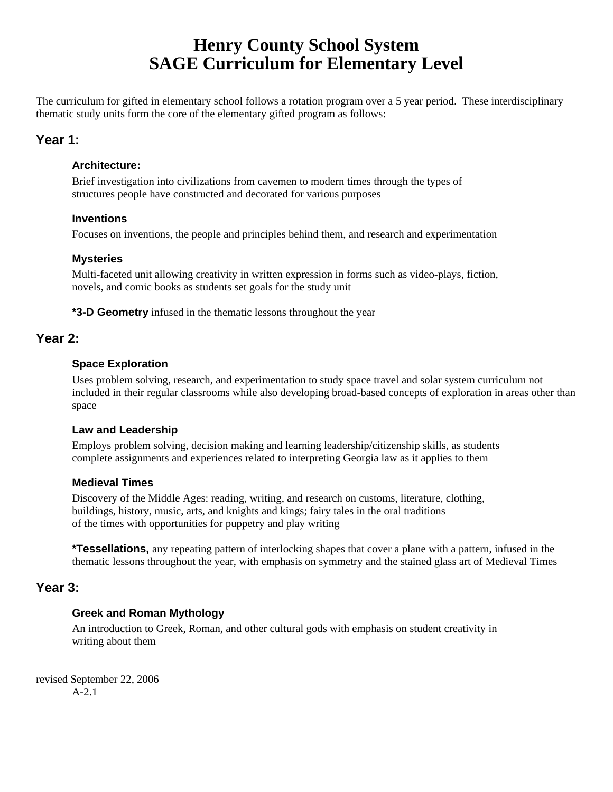# **Henry County School System SAGE Curriculum for Elementary Level**

The curriculum for gifted in elementary school follows a rotation program over a 5 year period. These interdisciplinary thematic study units form the core of the elementary gifted program as follows:

# **Year 1:**

## **Architecture:**

 Brief investigation into civilizations from cavemen to modern times through the types of structures people have constructed and decorated for various purposes

## **Inventions**

Focuses on inventions, the people and principles behind them, and research and experimentation

## **Mysteries**

 Multi-faceted unit allowing creativity in written expression in forms such as video-plays, fiction, novels, and comic books as students set goals for the study unit

**\*3-D Geometry** infused in the thematic lessons throughout the year

## **Year 2:**

## **Space Exploration**

Uses problem solving, research, and experimentation to study space travel and solar system curriculum not included in their regular classrooms while also developing broad-based concepts of exploration in areas other than space

## **Law and Leadership**

Employs problem solving, decision making and learning leadership/citizenship skills, as students complete assignments and experiences related to interpreting Georgia law as it applies to them

## **Medieval Times**

Discovery of the Middle Ages: reading, writing, and research on customs, literature, clothing, buildings, history, music, arts, and knights and kings; fairy tales in the oral traditions of the times with opportunities for puppetry and play writing

**\*Tessellations,** any repeating pattern of interlocking shapes that cover a plane with a pattern, infused in the thematic lessons throughout the year, with emphasis on symmetry and the stained glass art of Medieval Times

# **Year 3:**

## **Greek and Roman Mythology**

An introduction to Greek, Roman, and other cultural gods with emphasis on student creativity in writing about them

revised September 22, 2006 A-2.1